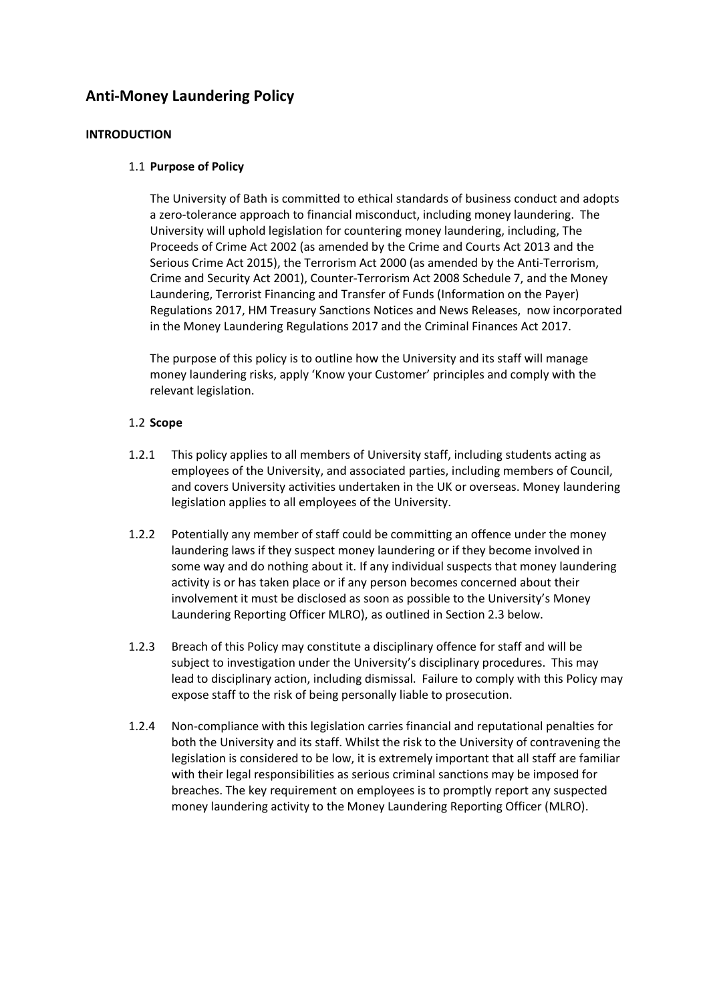# **Anti-Money Laundering Policy**

# **INTRODUCTION**

# 1.1 **Purpose of Policy**

The University of Bath is committed to ethical standards of business conduct and adopts a zero-tolerance approach to financial misconduct, including money laundering. The University will uphold legislation for countering money laundering, including, The Proceeds of Crime Act 2002 (as amended by the Crime and Courts Act 2013 and the Serious Crime Act 2015), the Terrorism Act 2000 (as amended by the Anti-Terrorism, Crime and Security Act 2001), Counter-Terrorism Act 2008 Schedule 7, and the Money Laundering, Terrorist Financing and Transfer of Funds (Information on the Payer) Regulations 2017, HM Treasury Sanctions Notices and News Releases, now incorporated in the Money Laundering Regulations 2017 and the Criminal Finances Act 2017.

The purpose of this policy is to outline how the University and its staff will manage money laundering risks, apply 'Know your Customer' principles and comply with the relevant legislation.

# 1.2 **Scope**

- 1.2.1 This policy applies to all members of University staff, including students acting as employees of the University, and associated parties, including members of Council, and covers University activities undertaken in the UK or overseas. Money laundering legislation applies to all employees of the University.
- 1.2.2 Potentially any member of staff could be committing an offence under the money laundering laws if they suspect money laundering or if they become involved in some way and do nothing about it. If any individual suspects that money laundering activity is or has taken place or if any person becomes concerned about their involvement it must be disclosed as soon as possible to the University's Money Laundering Reporting Officer MLRO), as outlined in Section 2.3 below.
- 1.2.3 Breach of this Policy may constitute a disciplinary offence for staff and will be subject to investigation under the University's disciplinary procedures. This may lead to disciplinary action, including dismissal. Failure to comply with this Policy may expose staff to the risk of being personally liable to prosecution.
- 1.2.4 Non-compliance with this legislation carries financial and reputational penalties for both the University and its staff. Whilst the risk to the University of contravening the legislation is considered to be low, it is extremely important that all staff are familiar with their legal responsibilities as serious criminal sanctions may be imposed for breaches. The key requirement on employees is to promptly report any suspected money laundering activity to the Money Laundering Reporting Officer (MLRO).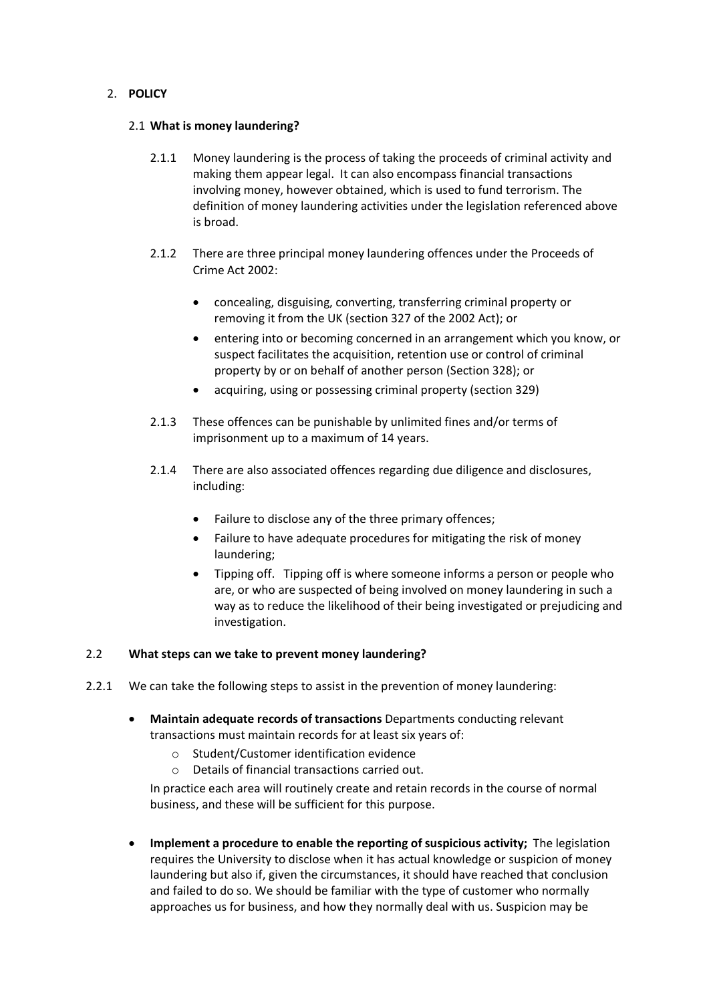# 2. **POLICY**

# 2.1 **What is money laundering?**

- 2.1.1 Money laundering is the process of taking the proceeds of criminal activity and making them appear legal. It can also encompass financial transactions involving money, however obtained, which is used to fund terrorism. The definition of money laundering activities under the legislation referenced above is broad.
- 2.1.2 There are three principal money laundering offences under the Proceeds of Crime Act 2002:
	- concealing, disguising, converting, transferring criminal property or removing it from the UK (section 327 of the 2002 Act); or
	- entering into or becoming concerned in an arrangement which you know, or suspect facilitates the acquisition, retention use or control of criminal property by or on behalf of another person (Section 328); or
	- acquiring, using or possessing criminal property (section 329)
- 2.1.3 These offences can be punishable by unlimited fines and/or terms of imprisonment up to a maximum of 14 years.
- 2.1.4 There are also associated offences regarding due diligence and disclosures, including:
	- Failure to disclose any of the three primary offences;
	- Failure to have adequate procedures for mitigating the risk of money laundering;
	- Tipping off. Tipping off is where someone informs a person or people who are, or who are suspected of being involved on money laundering in such a way as to reduce the likelihood of their being investigated or prejudicing and investigation.

# 2.2 **What steps can we take to prevent money laundering?**

- 2.2.1 We can take the following steps to assist in the prevention of money laundering:
	- **Maintain adequate records of transactions** Departments conducting relevant transactions must maintain records for at least six years of:
		- o Student/Customer identification evidence
		- o Details of financial transactions carried out.

In practice each area will routinely create and retain records in the course of normal business, and these will be sufficient for this purpose.

• **Implement a procedure to enable the reporting of suspicious activity;** The legislation requires the University to disclose when it has actual knowledge or suspicion of money laundering but also if, given the circumstances, it should have reached that conclusion and failed to do so. We should be familiar with the type of customer who normally approaches us for business, and how they normally deal with us. Suspicion may be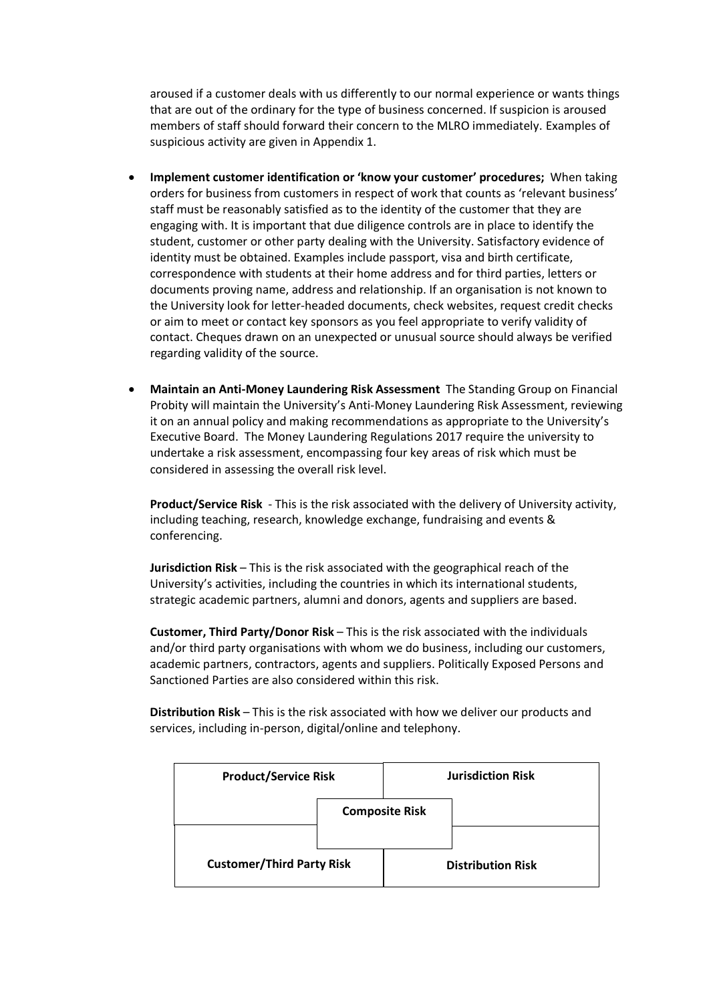aroused if a customer deals with us differently to our normal experience or wants things that are out of the ordinary for the type of business concerned. If suspicion is aroused members of staff should forward their concern to the MLRO immediately. Examples of suspicious activity are given in Appendix 1.

- **Implement customer identification or 'know your customer' procedures;** When taking orders for business from customers in respect of work that counts as 'relevant business' staff must be reasonably satisfied as to the identity of the customer that they are engaging with. It is important that due diligence controls are in place to identify the student, customer or other party dealing with the University. Satisfactory evidence of identity must be obtained. Examples include passport, visa and birth certificate, correspondence with students at their home address and for third parties, letters or documents proving name, address and relationship. If an organisation is not known to the University look for letter-headed documents, check websites, request credit checks or aim to meet or contact key sponsors as you feel appropriate to verify validity of contact. Cheques drawn on an unexpected or unusual source should always be verified regarding validity of the source.
- **Maintain an Anti-Money Laundering Risk Assessment** The Standing Group on Financial Probity will maintain the University's Anti-Money Laundering Risk Assessment, reviewing it on an annual policy and making recommendations as appropriate to the University's Executive Board. The Money Laundering Regulations 2017 require the university to undertake a risk assessment, encompassing four key areas of risk which must be considered in assessing the overall risk level.

**Product/Service Risk** - This is the risk associated with the delivery of University activity, including teaching, research, knowledge exchange, fundraising and events & conferencing.

**Jurisdiction Risk** – This is the risk associated with the geographical reach of the University's activities, including the countries in which its international students, strategic academic partners, alumni and donors, agents and suppliers are based.

**Customer, Third Party/Donor Risk** – This is the risk associated with the individuals and/or third party organisations with whom we do business, including our customers, academic partners, contractors, agents and suppliers. Politically Exposed Persons and Sanctioned Parties are also considered within this risk.

**Distribution Risk** – This is the risk associated with how we deliver our products and services, including in-person, digital/online and telephony.

| <b>Product/Service Risk</b>      |                       |  | <b>Jurisdiction Risk</b> |
|----------------------------------|-----------------------|--|--------------------------|
|                                  | <b>Composite Risk</b> |  |                          |
| <b>Customer/Third Party Risk</b> |                       |  | <b>Distribution Risk</b> |
|                                  |                       |  |                          |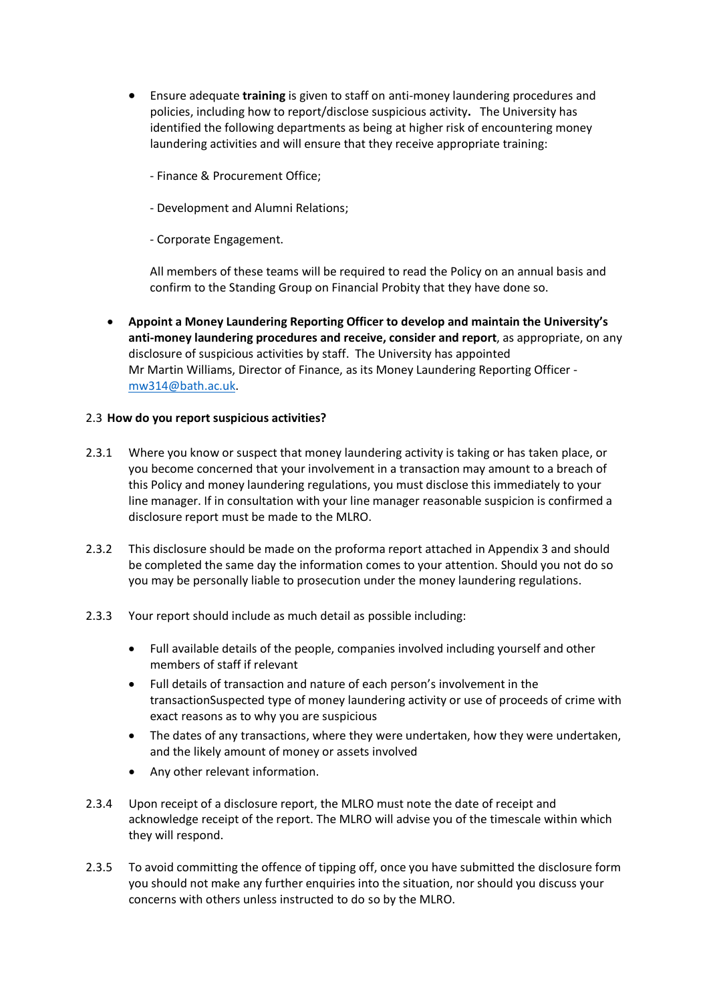- Ensure adequate **training** is given to staff on anti-money laundering procedures and policies, including how to report/disclose suspicious activity**.** The University has identified the following departments as being at higher risk of encountering money laundering activities and will ensure that they receive appropriate training:
	- Finance & Procurement Office;
	- Development and Alumni Relations;
	- Corporate Engagement.

All members of these teams will be required to read the Policy on an annual basis and confirm to the Standing Group on Financial Probity that they have done so.

• **Appoint a Money Laundering Reporting Officer to develop and maintain the University's anti-money laundering procedures and receive, consider and report**, as appropriate, on any disclosure of suspicious activities by staff. The University has appointed Mr Martin Williams, Director of Finance, as its Money Laundering Reporting Officer [mw314@bath.ac.uk.](mailto:mw314@bath.ac.uk)

# 2.3 **How do you report suspicious activities?**

- 2.3.1 Where you know or suspect that money laundering activity is taking or has taken place, or you become concerned that your involvement in a transaction may amount to a breach of this Policy and money laundering regulations, you must disclose this immediately to your line manager. If in consultation with your line manager reasonable suspicion is confirmed a disclosure report must be made to the MLRO.
- 2.3.2 This disclosure should be made on the proforma report attached in Appendix 3 and should be completed the same day the information comes to your attention. Should you not do so you may be personally liable to prosecution under the money laundering regulations.
- 2.3.3 Your report should include as much detail as possible including:
	- Full available details of the people, companies involved including yourself and other members of staff if relevant
	- Full details of transaction and nature of each person's involvement in the transactionSuspected type of money laundering activity or use of proceeds of crime with exact reasons as to why you are suspicious
	- The dates of any transactions, where they were undertaken, how they were undertaken, and the likely amount of money or assets involved
	- Any other relevant information.
- 2.3.4 Upon receipt of a disclosure report, the MLRO must note the date of receipt and acknowledge receipt of the report. The MLRO will advise you of the timescale within which they will respond.
- 2.3.5 To avoid committing the offence of tipping off, once you have submitted the disclosure form you should not make any further enquiries into the situation, nor should you discuss your concerns with others unless instructed to do so by the MLRO.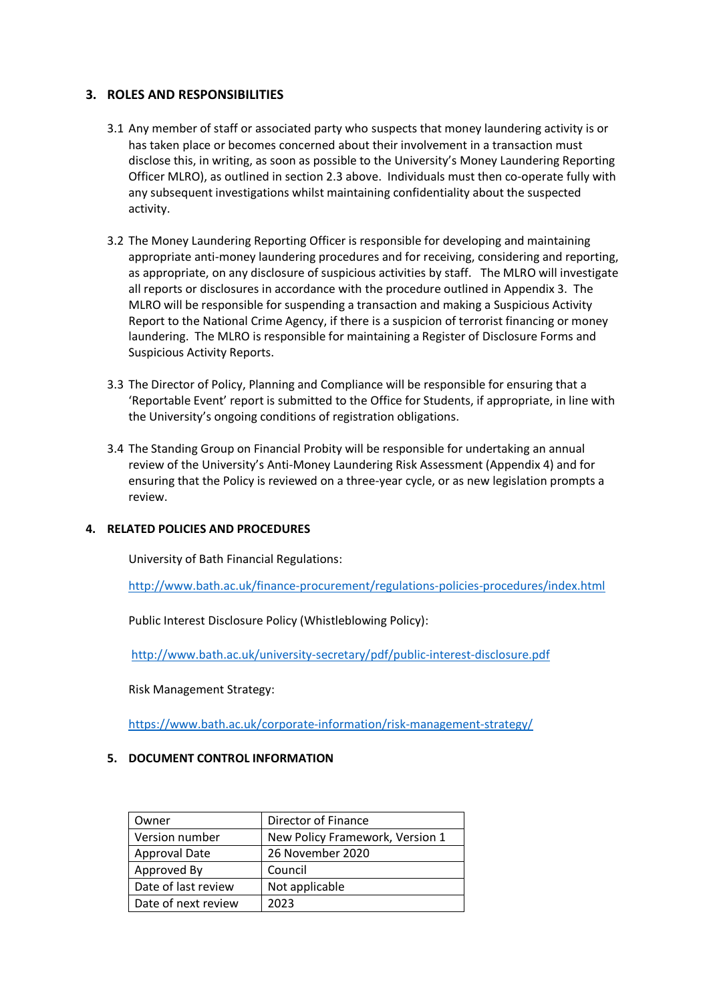# **3. ROLES AND RESPONSIBILITIES**

- 3.1 Any member of staff or associated party who suspects that money laundering activity is or has taken place or becomes concerned about their involvement in a transaction must disclose this, in writing, as soon as possible to the University's Money Laundering Reporting Officer MLRO), as outlined in section 2.3 above. Individuals must then co-operate fully with any subsequent investigations whilst maintaining confidentiality about the suspected activity.
- 3.2 The Money Laundering Reporting Officer is responsible for developing and maintaining appropriate anti-money laundering procedures and for receiving, considering and reporting, as appropriate, on any disclosure of suspicious activities by staff. The MLRO will investigate all reports or disclosures in accordance with the procedure outlined in Appendix 3. The MLRO will be responsible for suspending a transaction and making a Suspicious Activity Report to the National Crime Agency, if there is a suspicion of terrorist financing or money laundering. The MLRO is responsible for maintaining a Register of Disclosure Forms and Suspicious Activity Reports.
- 3.3 The Director of Policy, Planning and Compliance will be responsible for ensuring that a 'Reportable Event' report is submitted to the Office for Students, if appropriate, in line with the University's ongoing conditions of registration obligations.
- 3.4 The Standing Group on Financial Probity will be responsible for undertaking an annual review of the University's Anti-Money Laundering Risk Assessment (Appendix 4) and for ensuring that the Policy is reviewed on a three-year cycle, or as new legislation prompts a review.

# **4. RELATED POLICIES AND PROCEDURES**

University of Bath Financial Regulations:

<http://www.bath.ac.uk/finance-procurement/regulations-policies-procedures/index.html>

Public Interest Disclosure Policy (Whistleblowing Policy):

<http://www.bath.ac.uk/university-secretary/pdf/public-interest-disclosure.pdf>

Risk Management Strategy:

<https://www.bath.ac.uk/corporate-information/risk-management-strategy/>

# **5. DOCUMENT CONTROL INFORMATION**

| Owner                | Director of Finance             |
|----------------------|---------------------------------|
| Version number       | New Policy Framework, Version 1 |
| <b>Approval Date</b> | 26 November 2020                |
| Approved By          | Council                         |
| Date of last review  | Not applicable                  |
| Date of next review  | 2023                            |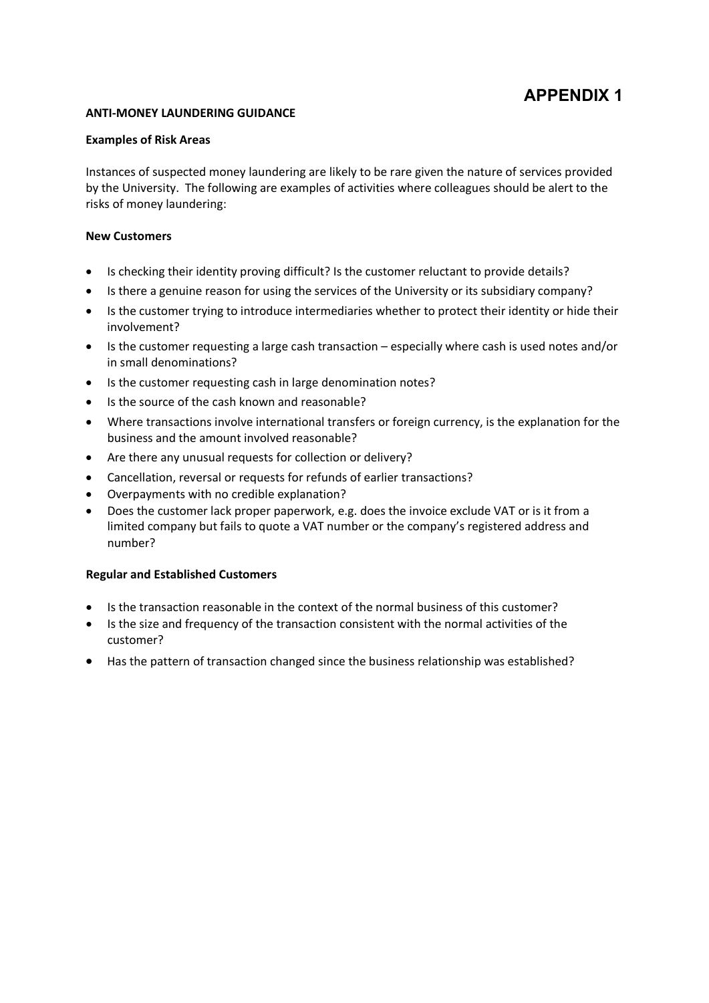#### **ANTI-MONEY LAUNDERING GUIDANCE**

#### **Examples of Risk Areas**

Instances of suspected money laundering are likely to be rare given the nature of services provided by the University. The following are examples of activities where colleagues should be alert to the risks of money laundering:

#### **New Customers**

- Is checking their identity proving difficult? Is the customer reluctant to provide details?
- Is there a genuine reason for using the services of the University or its subsidiary company?
- Is the customer trying to introduce intermediaries whether to protect their identity or hide their involvement?
- Is the customer requesting a large cash transaction especially where cash is used notes and/or in small denominations?
- Is the customer requesting cash in large denomination notes?
- Is the source of the cash known and reasonable?
- Where transactions involve international transfers or foreign currency, is the explanation for the business and the amount involved reasonable?
- Are there any unusual requests for collection or delivery?
- Cancellation, reversal or requests for refunds of earlier transactions?
- Overpayments with no credible explanation?
- Does the customer lack proper paperwork, e.g. does the invoice exclude VAT or is it from a limited company but fails to quote a VAT number or the company's registered address and number?

# **Regular and Established Customers**

- Is the transaction reasonable in the context of the normal business of this customer?
- Is the size and frequency of the transaction consistent with the normal activities of the customer?
- Has the pattern of transaction changed since the business relationship was established?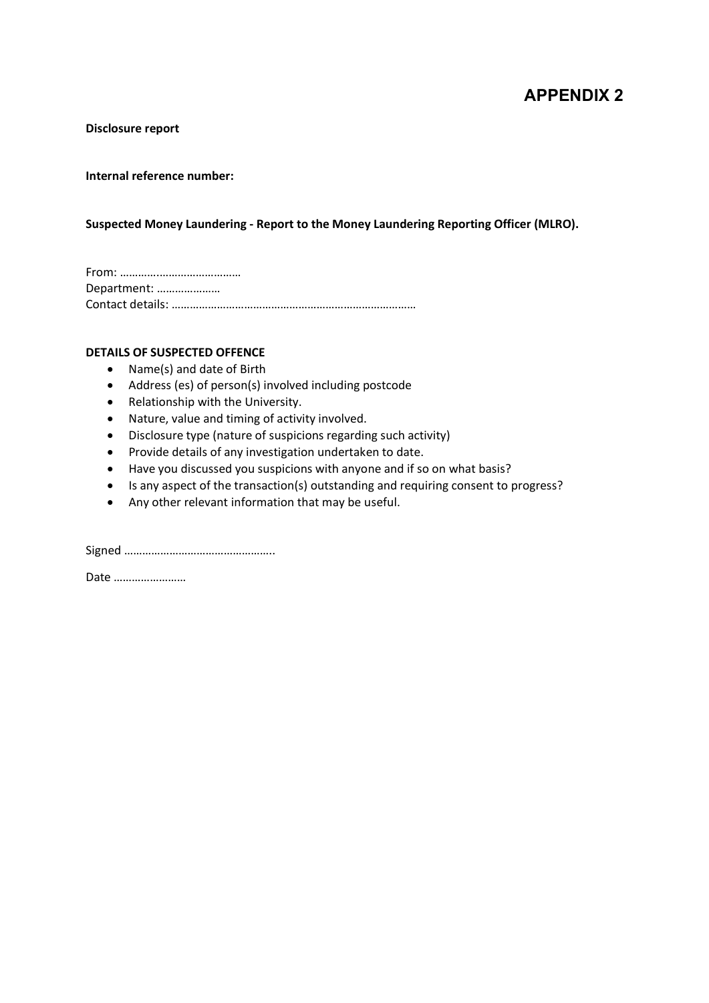**Disclosure report** 

# **Internal reference number:**

# **Suspected Money Laundering - Report to the Money Laundering Reporting Officer (MLRO).**

From: ………….……………………… Department: ………………… Contact details: ………………………………………………………………………

#### **DETAILS OF SUSPECTED OFFENCE**

- Name(s) and date of Birth
- Address (es) of person(s) involved including postcode
- Relationship with the University.
- Nature, value and timing of activity involved.
- Disclosure type (nature of suspicions regarding such activity)
- Provide details of any investigation undertaken to date.
- Have you discussed you suspicions with anyone and if so on what basis?
- Is any aspect of the transaction(s) outstanding and requiring consent to progress?
- Any other relevant information that may be useful.

Signed …………………………………………..

Date ……………………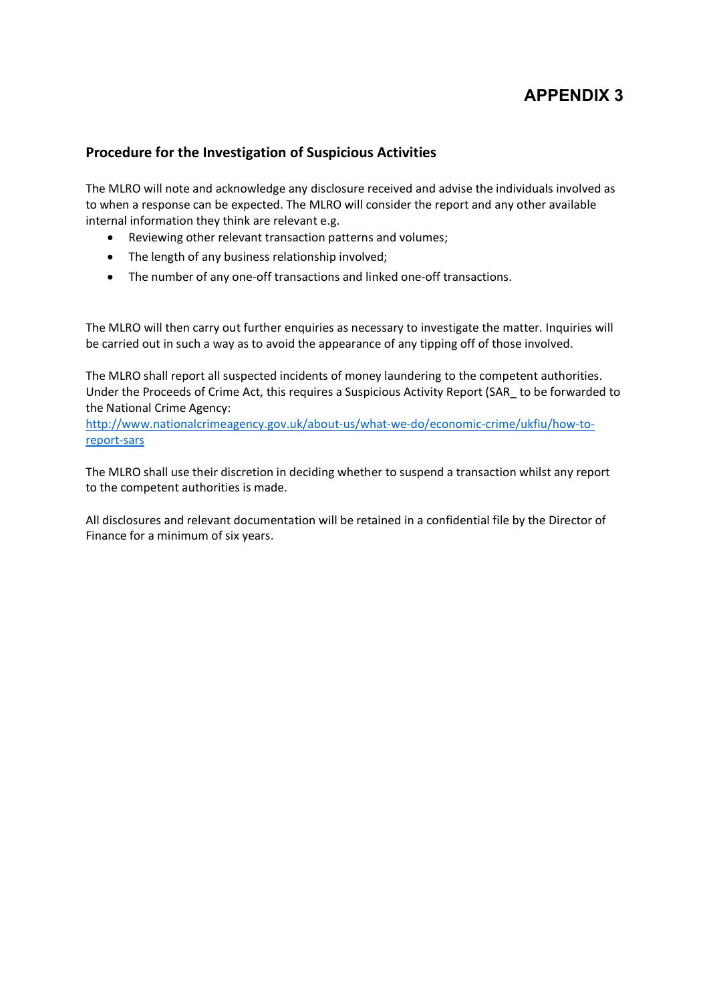# **Procedure for the Investigation of Suspicious Activities**

The MLRO will note and acknowledge any disclosure received and advise the individuals involved as to when a response can be expected. The MLRO will consider the report and any other available internal information they think are relevant e.g.

- Reviewing other relevant transaction patterns and volumes;
- The length of any business relationship involved;
- The number of any one-off transactions and linked one-off transactions.

The MLRO will then carry out further enquiries as necessary to investigate the matter. Inquiries will be carried out in such a way as to avoid the appearance of any tipping off of those involved.

The MLRO shall report all suspected incidents of money laundering to the competent authorities. Under the Proceeds of Crime Act, this requires a Suspicious Activity Report (SAR\_ to be forwarded to the National Crime Agency:

[http://www.nationalcrimeagency.gov.uk/about-us/what-we-do/economic-crime/ukfiu/how-to](http://www.nationalcrimeagency.gov.uk/about-us/what-we-do/economic-crime/ukfiu/how-to-report-sars)[report-sars](http://www.nationalcrimeagency.gov.uk/about-us/what-we-do/economic-crime/ukfiu/how-to-report-sars)

The MLRO shall use their discretion in deciding whether to suspend a transaction whilst any report to the competent authorities is made.

All disclosures and relevant documentation will be retained in a confidential file by the Director of Finance for a minimum of six years.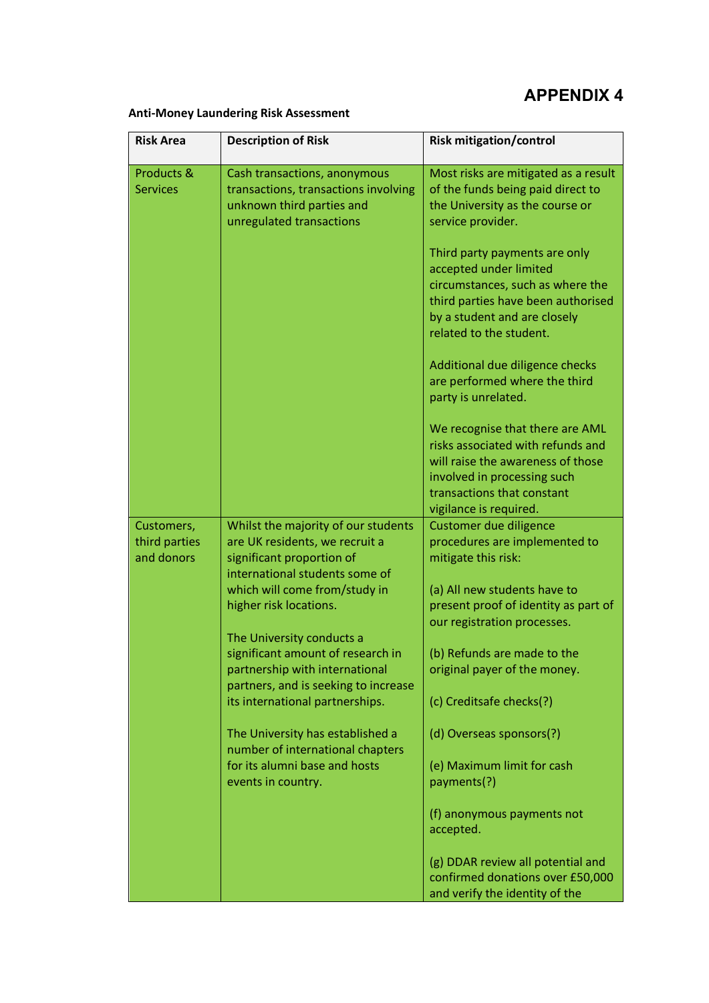# **Anti-Money Laundering Risk Assessment**

| <b>Risk Area</b>              | <b>Description of Risk</b>                                                                                                    | <b>Risk mitigation/control</b>                                                                                                                                                                   |
|-------------------------------|-------------------------------------------------------------------------------------------------------------------------------|--------------------------------------------------------------------------------------------------------------------------------------------------------------------------------------------------|
| Products &<br><b>Services</b> | Cash transactions, anonymous<br>transactions, transactions involving<br>unknown third parties and<br>unregulated transactions | Most risks are mitigated as a result<br>of the funds being paid direct to<br>the University as the course or<br>service provider.                                                                |
|                               |                                                                                                                               | Third party payments are only<br>accepted under limited<br>circumstances, such as where the<br>third parties have been authorised<br>by a student and are closely<br>related to the student.     |
|                               |                                                                                                                               | Additional due diligence checks<br>are performed where the third<br>party is unrelated.                                                                                                          |
|                               |                                                                                                                               | We recognise that there are AML<br>risks associated with refunds and<br>will raise the awareness of those<br>involved in processing such<br>transactions that constant<br>vigilance is required. |
| Customers,                    | Whilst the majority of our students                                                                                           | Customer due diligence                                                                                                                                                                           |
| third parties                 | are UK residents, we recruit a                                                                                                | procedures are implemented to                                                                                                                                                                    |
| and donors                    | significant proportion of                                                                                                     | mitigate this risk:                                                                                                                                                                              |
|                               | international students some of                                                                                                |                                                                                                                                                                                                  |
|                               | which will come from/study in<br>higher risk locations.                                                                       | (a) All new students have to<br>present proof of identity as part of                                                                                                                             |
|                               |                                                                                                                               | our registration processes.                                                                                                                                                                      |
|                               | The University conducts a                                                                                                     |                                                                                                                                                                                                  |
|                               | significant amount of research in                                                                                             | (b) Refunds are made to the                                                                                                                                                                      |
|                               | partnership with international                                                                                                | original payer of the money.                                                                                                                                                                     |
|                               | partners, and is seeking to increase                                                                                          |                                                                                                                                                                                                  |
|                               | its international partnerships.                                                                                               | (c) Creditsafe checks(?)                                                                                                                                                                         |
|                               | The University has established a<br>number of international chapters                                                          | (d) Overseas sponsors(?)                                                                                                                                                                         |
|                               | for its alumni base and hosts                                                                                                 | (e) Maximum limit for cash                                                                                                                                                                       |
|                               | events in country.                                                                                                            | payments(?)                                                                                                                                                                                      |
|                               |                                                                                                                               | (f) anonymous payments not<br>accepted.                                                                                                                                                          |
|                               |                                                                                                                               | (g) DDAR review all potential and<br>confirmed donations over £50,000<br>and verify the identity of the                                                                                          |